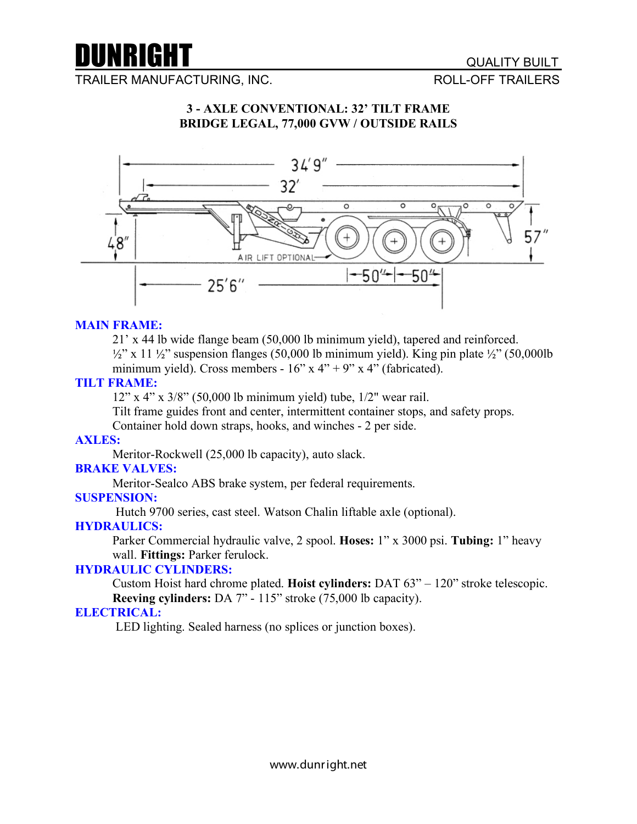

TRAILER MANUFACTURING, INC. THE STATE ROLL-OFF TRAILERS

# **3 - AXLE CONVENTIONAL: 32' TILT FRAME BRIDGE LEGAL, 77,000 GVW / OUTSIDE RAILS**



## **MAIN FRAME:**

21' x 44 lb wide flange beam (50,000 lb minimum yield), tapered and reinforced.  $\frac{1}{2}$ " x 11  $\frac{1}{2}$ " suspension flanges (50,000 lb minimum yield). King pin plate  $\frac{1}{2}$ " (50,000lb) minimum yield). Cross members -  $16$ " x  $4$ " + 9" x  $4$ " (fabricated).

#### **TILT FRAME:**

12" x 4" x 3/8" (50,000 lb minimum yield) tube, 1/2" wear rail.

Tilt frame guides front and center, intermittent container stops, and safety props.

Container hold down straps, hooks, and winches - 2 per side.

## **AXLES:**

Meritor-Rockwell (25,000 lb capacity), auto slack.

#### **BRAKE VALVES:**

Meritor-Sealco ABS brake system, per federal requirements.

#### **SUSPENSION:**

Hutch 9700 series, cast steel. Watson Chalin liftable axle (optional).

# **HYDRAULICS:**

Parker Commercial hydraulic valve, 2 spool. **Hoses:** 1" x 3000 psi. **Tubing:** 1" heavy wall. **Fittings:** Parker ferulock.

## **HYDRAULIC CYLINDERS:**

Custom Hoist hard chrome plated. **Hoist cylinders:** DAT 63" – 120" stroke telescopic. **Reeving cylinders:** DA 7" - 115" stroke (75,000 lb capacity).

## **ELECTRICAL:**

LED lighting. Sealed harness (no splices or junction boxes).